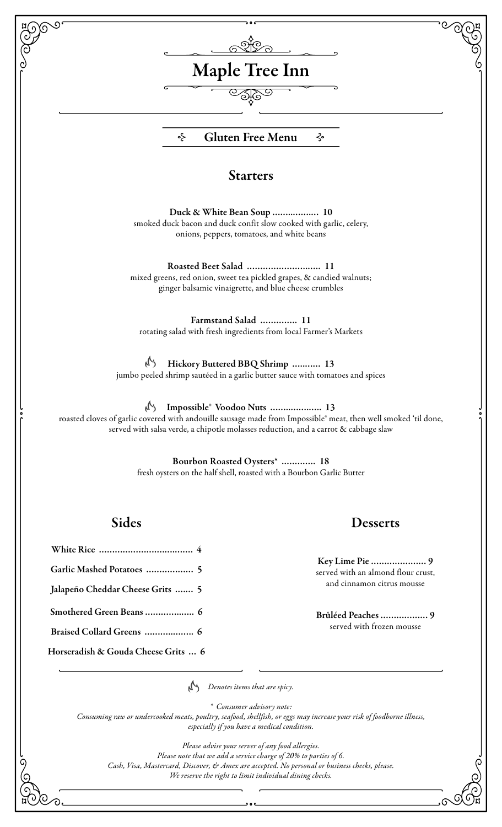